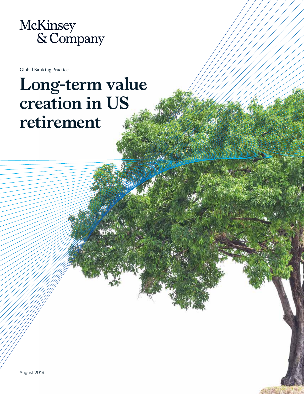

Global Banking Practice

# **Long-term value creation in US retirement**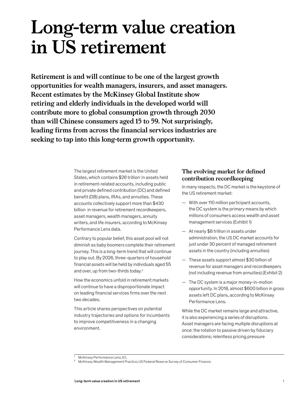# **Long-term value creation in US retirement**

**Retirement is and will continue to be one of the largest growth opportunities for wealth managers, insurers, and asset managers. Recent estimates by the McKinsey Global Institute show retiring and elderly individuals in the developed world will contribute more to global consumption growth through 2030 than will Chinese consumers aged 15 to 59. Not surprisingly, leading firms from across the financial services industries are seeking to tap into this long-term growth opportunity.** 

> The largest retirement market is the United States, which contains \$26 trillion<sup>1</sup> in assets held in retirement-related accounts, including public and private defined contribution (DC) and defined benefit (DB) plans, IRAs, and annuities. These accounts collectively support more than \$430 billion in revenue for retirement recordkeepers, asset managers, wealth managers, annuity writers, and life insurers, according to McKinsey Performance Lens data.

Contrary to popular belief, this asset pool will not diminish as baby boomers complete their retirement journey. This is a long-term trend that will continue to play out. By 2026, three-quarters of household financial assets will be held by individuals aged 55 and over, up from two-thirds today.<sup>2</sup>

How the economics unfold in retirement markets will continue to have a disproportionate impact on leading financial services firms over the next two decades.

This article shares perspectives on potential industry trajectories and options for incumbents to improve competitiveness in a changing environment.

# **The evolving market for defined contribution recordkeeping**

In many respects, the DC market is the keystone of the US retirement market:

- With over 110 million participant accounts, the DC system is the primary means by which millions of consumers access wealth and asset management services (Exhibit 1)
- At nearly \$8 trillion in assets under administration, the US DC market accounts for just under 30 percent of managed retirement assets in the country (including annuities)
- These assets support almost \$30 billion of revenue for asset managers and recordkeepers (not including revenue from annuities) (Exhibit 2)
- The DC system is a major money-in-motion opportunity. In 2018, almost \$600 billion in gross assets left DC plans, according to McKinsey Performance Lens.

While the DC market remains large and attractive, it is also experiencing a series of disruptions. Asset managers are facing multiple disruptions at once: the rotation to passive driven by fiduciary considerations; relentless pricing pressure

<sup>1</sup> McKinsey Performance Lens; ICI.

<sup>2</sup> McKinsey Wealth Management Practice; US Federal Reserve Survey of Consumer Finance.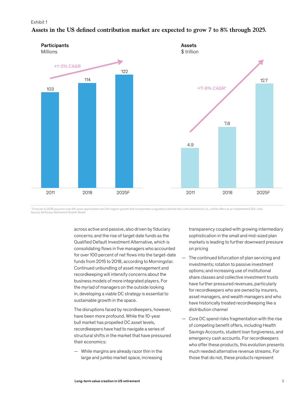#### Exhibit 1



## Assets in the US defined contribution market are expected to grow 7 to 8% through 2025.

<sup>1</sup> Forecast to 2025 assumes over 6% asset appreciation and 2% organic growth that incorporates a regulatory tailwind that curbs distribution (i.e., similar effect as an implemented DOL rule). Source: McKinsey Retirement Growth Model

> across active and passive, also driven by fiduciary concerns; and the rise of target date funds as the Qualified Default Investment Alternative, which is consolidating flows in five managers who accounted for over 100 percent of net flows into the target-date funds from 2015 to 2018, according to Morningstar. Continued unbundling of asset management and recordkeeping will intensify concerns about the business models of more integrated players. For the myriad of managers on the outside looking in, developing a viable DC strategy is essential to sustainable growth in the space.

The disruptions faced by recordkeepers, however, have been more profound. While the 10-year bull market has propelled DC asset levels, recordkeepers have had to navigate a series of structural shifts in the market that have pressured their economics:

— While margins are already razor thin in the large and jumbo market space, increasing transparency coupled with growing intermediary sophistication in the small and mid-sized plan markets is leading to further downward pressure on pricing

- The continued bifurcation of plan servicing and investments; rotation to passive investment options; and increasing use of institutional share classes and collective investment trusts have further pressured revenues, particularly for recordkeepers who are owned by insurers, asset managers, and wealth managers and who have historically treated recordkeeping like a distribution channel
- Core DC spend risks fragmentation with the rise of competing benefit offers, including Health Savings Accounts, student loan forgiveness, and emergency cash accounts. For recordkeepers who offer these products, this evolution presents much needed alternative revenue streams. For those that do not, these products represent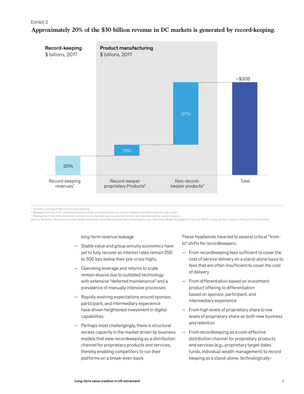# Exhibit 2 **Approximately 20% of the \$30 billion revenue in DC markets is generated by record-keeping.**



<sup>1</sup> Includes participant fees and revenue sharing.

 $^2$  Management fees from investment products that are manufactured by record-keepers and distributed through a plan.

<sup>s</sup> Management fees from investment products only (excludes group annuity) that are not manufactured by record-keepers.<br>Source: McKinsey Retirement Growth Model; McKinsey Asset Management Benchmarking Survey; McKinsey Weal

#### long-term revenue leakage

- Stable value and group annuity economics have yet to fully recover as interest rates remain 250 to 300 bps below their pre-crisis highs.
- Operating leverage and returns to scale remain elusive due to outdated technology with extensive "deferred maintenance" and a prevalence of manually intensive processes
- Rapidly evolving expectations around sponsor, participant, and intermediary experience have driven heightened investment in digital capabilities
- Perhaps most challengingly, there is structural excess capacity in the market driven by business models that view recordkeeping as a distribution channel for proprietary products and services, thereby enabling competitors to run their platforms on a break-even basis

These headwinds have led to several critical "fromto" shifts for recordkeepers:

- From recordkeeping fees sufficient to cover the cost of service delivery on a stand-alone basis to fees that are often insufficient to cover the cost of delivery
- From differentiation based on investment product offering to differentiation based on sponsor, participant, and intermediary experience
- From high levels of proprietary share to low levels of proprietary share on both new business and retention
- From recordkeeping as a cost-effective distribution channel for proprietary products and services (e.g., proprietary target dates funds, individual wealth management) to record keeping as a stand-alone, technologically-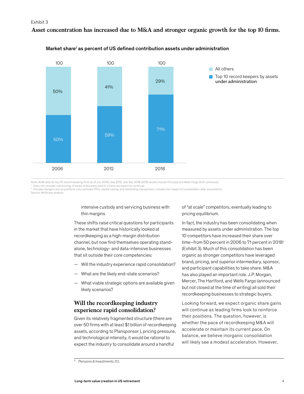## Asset concentration has increased due to M&A and stronger organic growth for the top 10 firms.



#### Market share<sup>1</sup> as percent of US defined contribution assets under administration

Note: AUM data for top 10 record-keeping firms as of Jun 2006, Sep 2012, and Sep 2018 (2018 results include Principal and Wells Fargo AUA combined).

Does not consider outsourcing of books of business (which is trend we expect to continue).<br>Includes mergers and acquisitions only; excludes IPOs, capital raising, and rebranding transactions; includes the impact of consoli Source: McKinsey analysis

> intensive custody and servicing business with thin margins

These shifts raise critical questions for participants in the market that have historically looked at recordkeeping as a high-margin distribution channel, but now find themselves operating standalone, technology- and data-intensive businesses that sit outside their core competencies:

- Will the industry experience rapid consolidation?
- What are the likely end-state scenarios?
- What viable strategic options are available given likely scenarios?

## **Will the recordkeeping industry experience rapid consolidation?**

Given its relatively fragmented structure (there are over 50 firms with at least \$1 billion of recordkeeping assets, according to Plansponsor ), pricing pressure, and technological intensity, it would be rational to expect the industry to consolidate around a handful

of "at scale" competitors, eventually leading to pricing equilibrium.

In fact, the industry has been consolidating when measured by assets under administration. The top 10 competitors have increased their share over time–from 50 percent in 2006 to 71 percent in 2018<sup>3</sup> (Exhibit 3). Much of this consolidation has been organic as stronger competitors have leveraged brand, pricing, and superior intermediary, sponsor, and participant capabilities to take share. M&A has also played an important role. J.P. Morgan, Mercer, The Hartford, and Wells Fargo (announced but not closed at the time of writing) all sold their recordkeeping businesses to strategic buyers.

Looking forward, we expect organic share gains will continue as leading firms look to reinforce their positions. The question, however, is whether the pace of recordkeeping M&A will accelerate or maintain its current pace. On balance, we believe inorganic consolidation will likely see a modest acceleration. However,

<sup>3</sup> *Pensions & Investments;* ICI.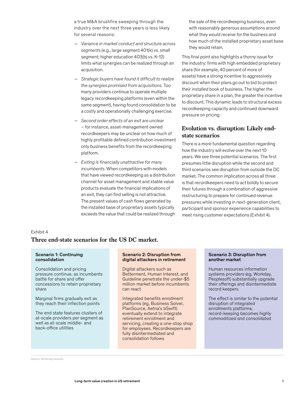a true M&A brushfire sweeping through the industry over the next three years is less likely for several reasons:

- *Variance in market conduct and structure across segments* (e.g., large segment 401(k) vs. small segment; higher education 403(b) vs. K-12) limits what synergies can be realized through an acquisition.
- *Strategic buyers have found it difficult to realize the synergies promised from acquisitions.* Too many providers continue to operate multiple legacy recordkeeping platforms (even within the same segment), having found consolidation to be a costly and operationally challenging exercise.
- *Second order effects of an exit are unclear*  – for instance, asset-management owned recordkeepers may be unclear on how much of highly profitable defined contribution investment only business benefits from the recordkeeping platform.
- *Exiting is financially unattractive for many incumbents.* When competitors with models that have viewed recordkeeping as a distribution channel for asset management and stable value products evaluate the financial implications of an exit, they can find selling is not attractive. The present values of cash flows generated by the installed base of proprietary assets typically exceeds the value that could be realized through

the sale of the recordkeeping business, even with reasonably generous assumptions around what they would receive for the business and how much of the installed proprietary asset base they would retain.

This final point also highlights a thorny issue for the industry: firms with high embedded proprietary share (for example, 40 percent of more of assets) have a strong incentive to aggressively discount when their plans go out to bid to protect their installed book of business. The higher the proprietary share in a plan, the greater the incentive to discount. This dynamic leads to structural excess recordkeeping capacity and continued downward pressure on pricing.

# **Evolution vs. disruption: Likely endstate scenarios**

There is a more fundamental question regarding how the industry will evolve over the next 10 years. We see three potential scenarios. The first presumes little disruption while the second and third scenarios see disruption from outside the DC market. The common implication across all three is that recordkeepers need to act boldly to secure their futures through a combination of aggressive restructuring to prepare for continued revenue pressures while investing in next-generation client, participant and sponsor experience capabilities to meet rising customer expectations (Exhibit 4).

#### Exhibit 4

# **Three end-state scenarios for the US DC market.**

#### Scenario 1: Continuing consolidation

Consolidation and pricing pressure continue, as incumbents battle for share and offer concessions to retain proprietary share

Marginal firms gradually exit as they reach their inflection points

The end state features clusters of at-scale providers per segment as well as at-scale middle- and back-office utilities

#### Scenario 2: Disruption from digital attackers in retirement

Digital attackers such as Betterment, Human Interest, and Guideline penetrate the under-\$5 million market before incumbents can react

Integrated benefits enrollment platforms (eg, Business Solver, PlanSource, Aetna's bSwift) eventually extend to integrate retirement enrollment and servicing, creating a one-stop shop for employees. Recordkeepers are fully disintermediated and consolidation follows

#### Scenario 3: Disruption from another market

Human resources information systems providers (eg, Workday, Peoplesoft) substantially upgrade their offerings and disintermediate record keepers

The effect is similar to the potential disruption of integrated enrollments platforms; record-keeping becomes highly commoditized and consolidated

Source: McKinsey analysis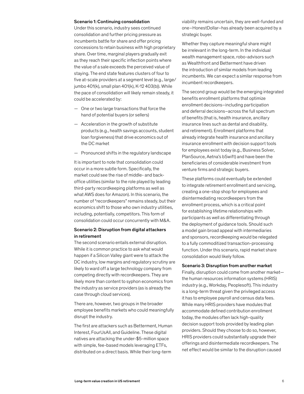#### Scenario 1: Continuing consolidation

Under this scenario, industry sees continued consolidation and further pricing pressure as incumbents battle for share and offer pricing concessions to retain business with high proprietary share. Over time, marginal players gradually exit as they reach their specific inflection points where the value of a sale exceeds the perceived value of staying. The end state features clusters of four to five at-scale providers at a segment level (e.g., large/ jumbo 401(k), small plan 401(k), K-12 403(b)). While the pace of consolidation will likely remain steady, it could be accelerated by:

- One or two large transactions that force the hand of potential buyers (or sellers)
- Acceleration in the growth of substitute products (e.g., health savings accounts, student loan forgiveness) that drive economics out of the DC market
- Pronounced shifts in the regulatory landscape

It is important to note that consolidation could occur in a more subtle form. Specifically, the market could see the rise of middle- and backoffice utilities (similar to the role played by leading third-party recordkeeping platforms as well as what AWS does for Amazon). In this scenario, the number of "recordkeepers" remains steady, but their economics shift to those who own industry utilities, including, potentially, competitors. This form of consolidation could occur concurrently with M&A.

### Scenario 2: Disruption from digital attackers in retirement

The second scenario entails external disruption. While it is common practice to ask what would happen if a Silicon Valley giant were to attack the DC industry, low margins and regulatory scrutiny are likely to ward off a large technology company from competing directly with recordkeepers. They are likely more than content to syphon economics from the industry as service providers (as is already the case through cloud services).

There are, however, two groups in the broader employee benefits markets who could meaningfully disrupt the industry.

The first are attackers such as Betterment, Human Interest, FourUsAll, and Guideline. These digital natives are attacking the under-\$5-million space with simple, fee-based models leveraging ETFs, distributed on a direct basis. While their long-term

viability remains uncertain, they are well-funded and one–HonestDollar–has already been acquired by a strategic buyer.

Whether they capture meaningful share might be irrelevant in the long-term. In the individual wealth management space, robo-advisors such as Wealthfront and Betterment have driven the introduction of similar models from leading incumbents. We can expect a similar response from incumbent recordkeepers.

The second group would be the emerging integrated benefits enrollment platforms that optimize enrollment decisions–including participation and deferral decisions–across the full spectrum of benefits (that is, health insurance, ancillary insurance lines such as dental and disability, and retirement). Enrollment platforms that already integrate health insurance and ancillary insurance enrollment with decision support tools for employees exist today (e.g., Business Solver, PlanSource, Aetna's bSwift) and have been the beneficiaries of considerable investment from venture firms and strategic buyers.

These platforms could eventually be extended to integrate retirement enrollment and servicing, creating a one-stop shop for employees and disintermediating recordkeepers from the enrollment process, which is a critical point for establishing lifetime relationships with participants as well as differentiating through the deployment of guidance tools. Should such a model gain broad appeal with intermediaries and sponsors, recordkeeping would be relegated to a fully commoditized transaction-processing function. Under this scenario, rapid market share consolidation would likely follow.

#### Scenario 3: Disruption from another market

Finally, disruption could come from another market the human resources information systems (HRIS) industry (e.g., Workday, Peoplesoft). This industry is a long-term threat given the privileged access it has to employee payroll and census data fees. While many HRIS providers have modules that accommodate defined contribution enrollment today, the modules often lack high-quality decision support tools provided by leading plan providers. Should they choose to do so, however, HRIS providers could substantially upgrade their offerings and disintermediate recordkeepers. The net effect would be similar to the disruption caused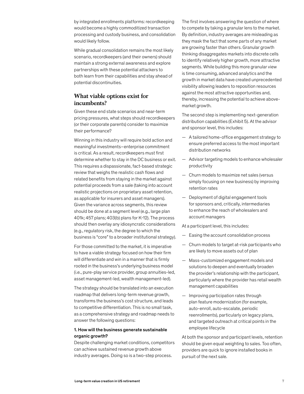by integrated enrollments platforms: recordkeeping would become a highly commoditized transaction processing and custody business, and consolidation would likely follow.

While gradual consolidation remains the most likely scenario, recordkeepers (and their owners) should maintain a strong external awareness and explore partnerships with these potential attackers to both learn from their capabilities and stay ahead of potential discontinuities.

## **What viable options exist for incumbents?**

Given these end state scenarios and near-term pricing pressures, what steps should recordkeepers (or their corporate parents) consider to maximize their performance?

Winning in this industry will require bold action and meaningful investments–enterprise commitment is critical. As a result, recordkeepers must first determine whether to stay in the DC business or exit. This requires a dispassionate, fact-based strategic review that weighs the realistic cash flows and related benefits from staying in the market against potential proceeds from a sale (taking into account realistic projections on proprietary asset retention, as applicable for insurers and asset managers). Given the variance across segments, this review should be done at a segment level (e.g., large plan 401k; 457 plans; 403(b) plans for K-12). The process should then overlay any idiosyncratic considerations (e.g., regulatory risk, the degree to which the business is "core" to a broader institutional strategy).

For those committed to the market, it is imperative to have a viable strategy focused on how their firm will differentiate and win in a manner that is firmly rooted in the business's underlying business model (i.e., pure-play service provider, group annuities-led, asset management-led, wealth management-led).

The strategy should be translated into an execution roadmap that delivers long-term revenue growth, transforms the business's cost structure, and leads to competitive differentiation. This is no small task, as a comprehensive strategy and roadmap needs to answer the following questions:

## 1. How will the business generate sustainable organic growth?

Despite challenging market conditions, competitors can achieve sustained revenue growth above industry averages. Doing so is a two-step process.

The first involves answering the question of where to compete by taking a granular lens to the market. By definition, industry averages are misleading as they mask the fact that some parts of any market are growing faster than others. Granular growth thinking disaggregates markets into discrete cells to identify relatively higher growth, more attractive segments. While building this more granular view is time consuming, advanced analytics and the growth in market data have created unprecedented visibility allowing leaders to reposition resources against the most attractive opportunities and, thereby, increasing the potential to achieve abovemarket growth.

The second step is implementing next-generation distribution capabilities (Exhibit 5). At the advisor and sponsor level, this includes:

- A tailored home-office engagement strategy to ensure preferred access to the most important distribution networks
- Advisor targeting models to enhance wholesaler productivity
- Churn models to maximize net sales (versus simply focusing on new business) by improving retention rates
- Deployment of digital engagement tools for sponsors and, critically, intermediaries to enhance the reach of wholesalers and account managers

At a participant level, this includes:

- Easing the account consolidation process
- Churn models to target at-risk participants who are likely to move assets out of plan
- Mass-customized engagement models and solutions to deepen and eventually broaden the provider's relationship with the participant, particularly where the provider has retail wealth management capabilities
- Improving participation rates through plan feature modernization (for example, auto-enroll, auto-escalate, periodic reenrollments), particularly on legacy plans, and targeted outreach at critical points in the employee lifecycle

At both the sponsor and participant levels, retention should be given equal weighting to sales. Too often, providers are quick to ignore installed books in pursuit of the next sale.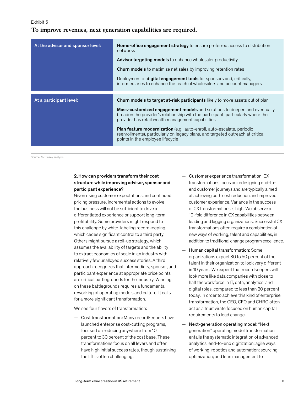Exhibit 5

## **To improve revenues, next generation capabilities are required.**

| At the advisor and sponsor level: | <b>Home-office engagement strategy</b> to ensure preferred access to distribution<br>networks                                                                                                                             |
|-----------------------------------|---------------------------------------------------------------------------------------------------------------------------------------------------------------------------------------------------------------------------|
|                                   | <b>Advisor targeting models</b> to enhance wholesaler productivity                                                                                                                                                        |
|                                   | <b>Churn models</b> to maximize net sales by improving retention rates                                                                                                                                                    |
|                                   | Deployment of <b>digital engagement tools</b> for sponsors and, critically,<br>intermediaries to enhance the reach of wholesalers and account managers                                                                    |
|                                   |                                                                                                                                                                                                                           |
| At a participant level:           | <b>Churn models to target at-risk participants</b> likely to move assets out of plan                                                                                                                                      |
|                                   | <b>Mass-customized engagement models</b> and solutions to deepen and eventually<br>broaden the provider's relationship with the participant, particularly where the<br>provider has retail wealth management capabilities |
|                                   | <b>Plan feature modernization</b> (e.g., auto-enroll, auto-escalate, periodic<br>reenrollments), particularly on legacy plans, and targeted outreach at critical<br>points in the employee lifecycle                      |

Source: McKinsey analysis

## 2.How can providers transform their cost structure while improving advisor, sponsor and participant experience?

Given rising customer expectations and continued pricing pressure, incremental actions to evolve the business will not be sufficient to drive a differentiated experience or support long-term profitability. Some providers might respond to this challenge by white-labeling recordkeeping, which cedes significant control to a third party. Others might pursue a roll-up strategy, which assumes the availability of targets and the ability to extract economies of scale in an industry with relatively few unalloyed success stories. A third approach recognizes that intermediary, sponsor, and participant experience at appropriate price points are critical battlegrounds for the industry. Winning on these battlegrounds requires a fundamental reworking of operating models and culture. It calls for a more significant transformation.

We see four flavors of transformation:

— Cost transformation: Many recordkeepers have launched enterprise cost-cutting programs, focused on reducing anywhere from 10 percent to 30 percent of the cost base. These transformations focus on all levers and often have high initial success rates, though sustaining the lift is often challenging.

- Customer experience transformation: CX transformations focus on redesigning end-toend customer journeys and are typically aimed at achieving both cost reduction and improved customer experience. Variance in the success of CX transformations is high. We observe a 10-fold difference in CX capabilities between leading and lagging organizations. Successful CX transformations often require a combination of new ways of working, talent and capabilities, in addition to traditional change program excellence.
- Human capital transformation: Some organizations expect 30 to 50 percent of the talent in their organization to look very different in 10 years. We expect that recordkeepers will look more like data companies with close to half the workforce in IT, data, analytics, and digital roles, compared to less than 20 percent today. In order to achieve this kind of enterprise transformation, the CEO, CFO and CHRO often act as a triumvirate focused on human capital requirements to lead change.
- Next-generation operating model: "Next generation" operating model transformation entails the systematic integration of advanced analytics; end-to-end digitization; agile ways of working; robotics and automation; sourcing optimization; and lean management to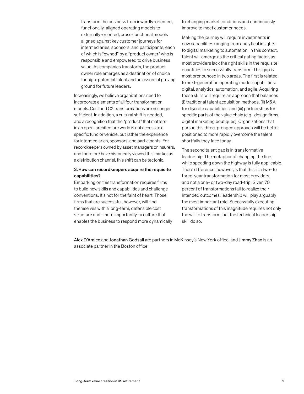transform the business from inwardly-oriented, functionally-aligned operating models to externally-oriented, cross-functional models aligned against key customer journeys for intermediaries, sponsors, and participants, each of which is "owned" by a "product owner" who is responsible and empowered to drive business value. As companies transform, the product owner role emerges as a destination of choice for high-potential talent and an essential proving ground for future leaders.

Increasingly, we believe organizations need to incorporate elements of all four transformation models. Cost and CX transformations are no longer sufficient. In addition, a cultural shift is needed, and a recognition that the "product" that matters in an open-architecture world is not access to a specific fund or vehicle, but rather the experience for intermediaries, sponsors, and participants. For recordkeepers owned by asset managers or insurers, and therefore have historically viewed this market as a distribution channel, this shift can be tectonic.

### 3.How can recordkeepers acquire the requisite capabilities?

Embarking on this transformation requires firms to build new skills and capabilities and challenge conventions. It's not for the faint of heart. Those firms that are successful, however, will find themselves with a long-term, defensible cost structure and–more importantly–a culture that enables the business to respond more dynamically to changing market conditions and continuously improve to meet customer needs.

Making the journey will require investments in new capabilities ranging from analytical insights to digital marketing to automation. In this context, talent will emerge as the critical gating factor, as most providers lack the right skills in the requisite quantities to successfully transform. This gap is most pronounced in two areas. The first is related to next-generation operating model capabilities: digital, analytics, automation, and agile. Acquiring these skills will require an approach that balances (i) traditional talent acquisition methods, (ii) M&A for discrete capabilities, and (iii) partnerships for specific parts of the value chain (e.g., design firms, digital marketing boutiques). Organizations that pursue this three-pronged approach will be better positioned to more rapidly overcome the talent shortfalls they face today.

The second talent gap is in transformative leadership. The metaphor of changing the tires while speeding down the highway is fully applicable. There difference, however, is that this is a two- to three-year transformation for most providers, and not a one- or two-day road-trip. Given 70 percent of transformations fail to realize their intended outcomes, leadership will play arguably the most important role. Successfully executing transformations of this magnitude requires not only the will to transform, but the technical leadership skill do so.

Alex D'Amico and Jonathan Godsall are partners in McKinsey's New York office, and Jimmy Zhao is an associate partner in the Boston office.